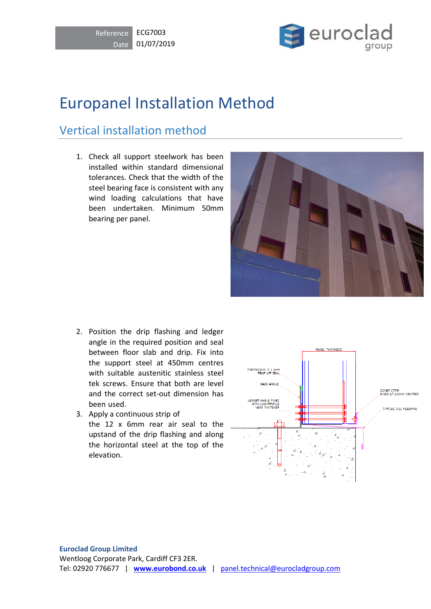



## Europanel Installation Method

## Vertical installation method

1. Check all support steelwork has been installed within standard dimensional tolerances. Check that the width of the steel bearing face is consistent with any wind loading calculations that have been undertaken. Minimum 50mm bearing per panel.



- 2. Position the drip flashing and ledger angle in the required position and seal between floor slab and drip. Fix into the support steel at 450mm centres with suitable austenitic stainless steel tek screws. Ensure that both are level and the correct set-out dimension has been used.
- 3. Apply a continuous strip of the 12 x 6mm rear air seal to the upstand of the drip flashing and along the horizontal steel at the top of the elevation.

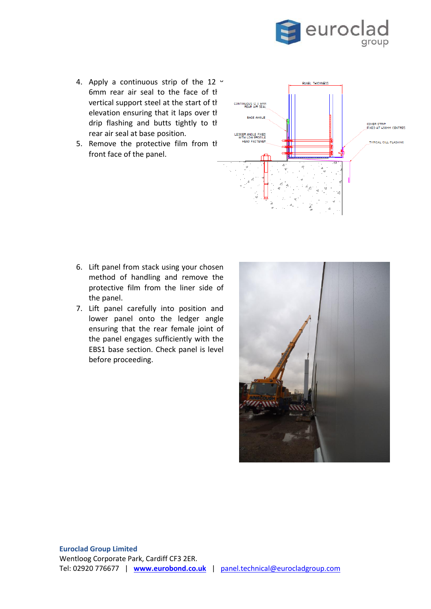

- 4. Apply a continuous strip of the 12  $\cdot$ 6mm rear air seal to the face of the vertical support steel at the start of the elevation ensuring that it laps over the drip flashing and butts tightly to the rear air seal at base position.
- 5. Remove the protective film from the front face of the panel.



- 6. Lift panel from stack using your chosen method of handling and remove the protective film from the liner side of the panel.
- 7. Lift panel carefully into position and lower panel onto the ledger angle ensuring that the rear female joint of the panel engages sufficiently with the EBS1 base section. Check panel is level before proceeding.

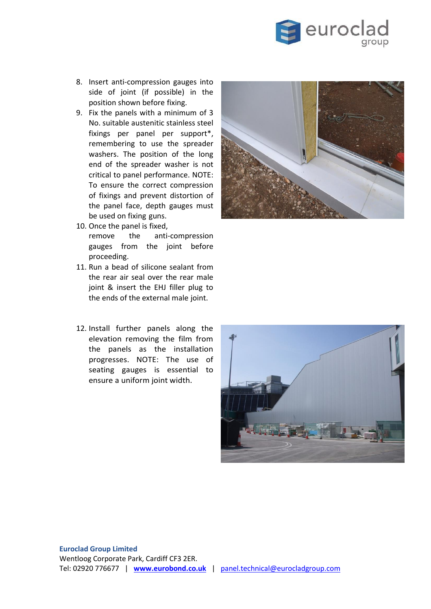

- 8. Insert anti-compression gauges into side of joint (if possible) in the position shown before fixing.
- 9. Fix the panels with a minimum of 3 No. suitable austenitic stainless steel fixings per panel per support\*, remembering to use the spreader washers. The position of the long end of the spreader washer is not critical to panel performance. NOTE: To ensure the correct compression of fixings and prevent distortion of the panel face, depth gauges must be used on fixing guns.
- 10. Once the panel is fixed, remove the anti-compression gauges from the joint before proceeding.
- 11. Run a bead of silicone sealant from the rear air seal over the rear male joint & insert the EHJ filler plug to the ends of the external male joint.
- 12. Install further panels along the elevation removing the film from the panels as the installation progresses. NOTE: The use of seating gauges is essential to ensure a uniform joint width.



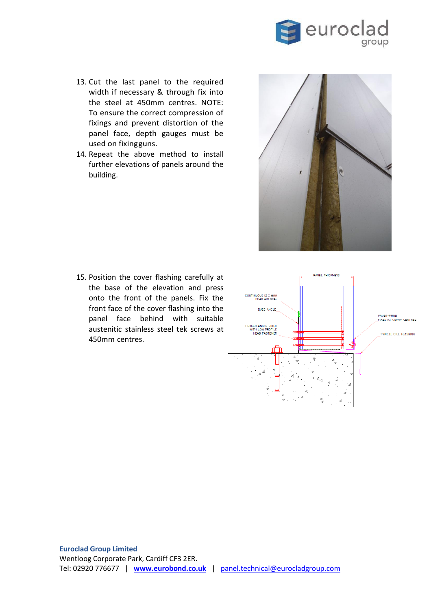

- 13. Cut the last panel to the required width if necessary & through fix into the steel at 450mm centres. NOTE: To ensure the correct compression of fixings and prevent distortion of the panel face, depth gauges must be used on fixingguns.
- 14. Repeat the above method to install further elevations of panels around the building.



15. Position the cover flashing carefully at the base of the elevation and press onto the front of the panels. Fix the front face of the cover flashing into the panel face behind with suitable austenitic stainless steel tek screws at 450mm centres.